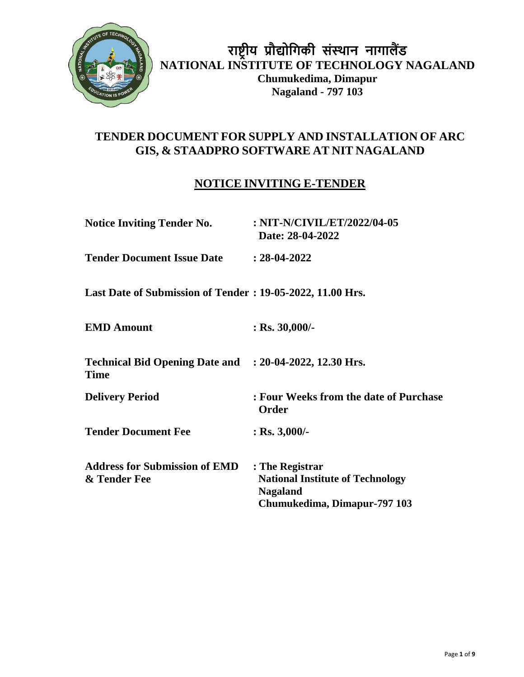

## **TENDER DOCUMENT FOR SUPPLY AND INSTALLATION OF ARC GIS, & STAADPRO SOFTWARE AT NIT NAGALAND**

# **NOTICE INVITING E-TENDER**

| <b>Notice Inviting Tender No.</b>                                      | : NIT-N/CIVIL/ET/2022/04-05<br>Date: 28-04-2022                                                               |
|------------------------------------------------------------------------|---------------------------------------------------------------------------------------------------------------|
| <b>Tender Document Issue Date</b>                                      | $: 28-04-2022$                                                                                                |
| Last Date of Submission of Tender: 19-05-2022, 11.00 Hrs.              |                                                                                                               |
| <b>EMD Amount</b>                                                      | : Rs. $30,000/$ -                                                                                             |
| Technical Bid Opening Date and : 20-04-2022, 12.30 Hrs.<br><b>Time</b> |                                                                                                               |
| <b>Delivery Period</b>                                                 | : Four Weeks from the date of Purchase<br>Order                                                               |
| <b>Tender Document Fee</b>                                             | $:$ Rs. 3,000/-                                                                                               |
| <b>Address for Submission of EMD</b><br>& Tender Fee                   | : The Registrar<br><b>National Institute of Technology</b><br><b>Nagaland</b><br>Chumukedima, Dimapur-797 103 |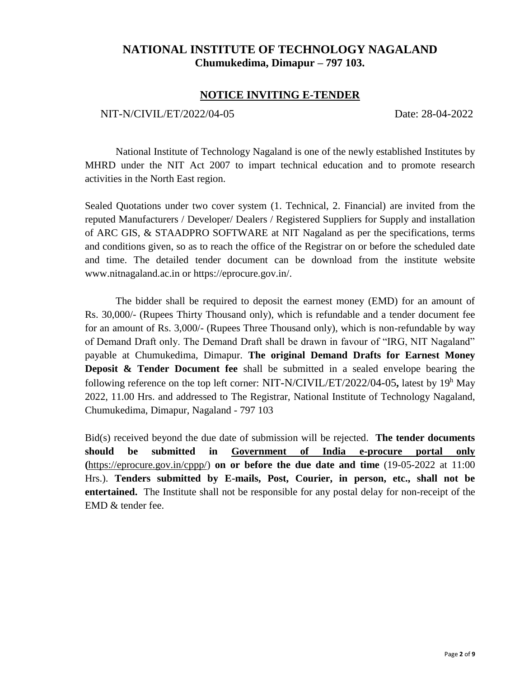## **NATIONAL INSTITUTE OF TECHNOLOGY NAGALAND Chumukedima, Dimapur – 797 103.**

#### **NOTICE INVITING E-TENDER**

#### NIT-N/CIVIL/ET/2022/04-05 Date: 28-04-2022

National Institute of Technology Nagaland is one of the newly established Institutes by MHRD under the NIT Act 2007 to impart technical education and to promote research activities in the North East region.

Sealed Quotations under two cover system (1. Technical, 2. Financial) are invited from the reputed Manufacturers / Developer/ Dealers / Registered Suppliers for Supply and installation of ARC GIS, & STAADPRO SOFTWARE at NIT Nagaland as per the specifications, terms and conditions given, so as to reach the office of the Registrar on or before the scheduled date and time. The detailed tender document can be download from the institute website www.nitnagaland.ac.in or https://eprocure.gov.in/.

The bidder shall be required to deposit the earnest money (EMD) for an amount of Rs. 30,000/- (Rupees Thirty Thousand only), which is refundable and a tender document fee for an amount of Rs. 3,000/- (Rupees Three Thousand only), which is non-refundable by way of Demand Draft only. The Demand Draft shall be drawn in favour of "IRG, NIT Nagaland" payable at Chumukedima, Dimapur. **The original Demand Drafts for Earnest Money Deposit & Tender Document fee** shall be submitted in a sealed envelope bearing the following reference on the top left corner: NIT-N/CIVIL/ET/2022/04-05**,** latest by 19<sup>h</sup> May 2022, 11.00 Hrs. and addressed to The Registrar, National Institute of Technology Nagaland, Chumukedima, Dimapur, Nagaland - 797 103

Bid(s) received beyond the due date of submission will be rejected. **The tender documents should be submitted in Government of India e-procure portal only (**[https://eprocure.gov.in/cppp/\)](https://eprocure.gov.in/cppp/) **on or before the due date and time** (19-05-2022 at 11:00 Hrs.). **Tenders submitted by E-mails, Post, Courier, in person, etc., shall not be entertained.** The Institute shall not be responsible for any postal delay for non-receipt of the EMD & tender fee.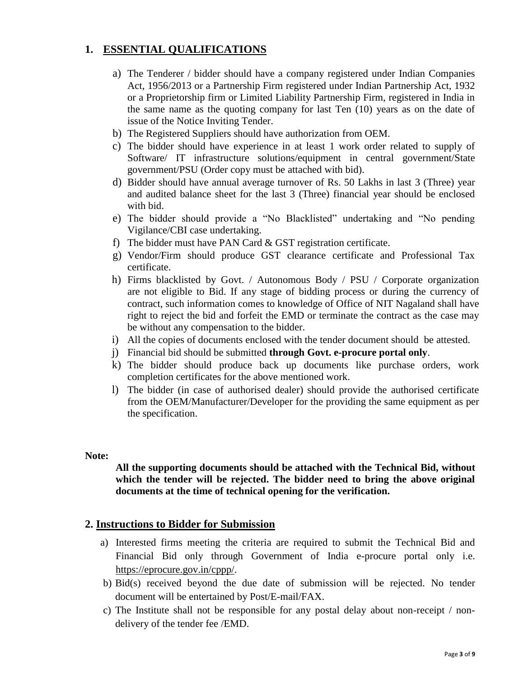## **1. ESSENTIAL QUALIFICATIONS**

- a) The Tenderer / bidder should have a company registered under Indian Companies Act, 1956/2013 or a Partnership Firm registered under Indian Partnership Act, 1932 or a Proprietorship firm or Limited Liability Partnership Firm, registered in India in the same name as the quoting company for last Ten (10) years as on the date of issue of the Notice Inviting Tender.
- b) The Registered Suppliers should have authorization from OEM.
- c) The bidder should have experience in at least 1 work order related to supply of Software/ IT infrastructure solutions/equipment in central government/State government/PSU (Order copy must be attached with bid).
- d) Bidder should have annual average turnover of Rs. 50 Lakhs in last 3 (Three) year and audited balance sheet for the last 3 (Three) financial year should be enclosed with bid.
- e) The bidder should provide a "No Blacklisted" undertaking and "No pending Vigilance/CBI case undertaking.
- f) The bidder must have PAN Card & GST registration certificate.
- g) Vendor/Firm should produce GST clearance certificate and Professional Tax certificate.
- h) Firms blacklisted by Govt. / Autonomous Body / PSU / Corporate organization are not eligible to Bid. If any stage of bidding process or during the currency of contract, such information comes to knowledge of Office of NIT Nagaland shall have right to reject the bid and forfeit the EMD or terminate the contract as the case may be without any compensation to the bidder.
- i) All the copies of documents enclosed with the tender document should be attested.
- j) Financial bid should be submitted **through Govt. e-procure portal only**.
- k) The bidder should produce back up documents like purchase orders, work completion certificates for the above mentioned work.
- l) The bidder (in case of authorised dealer) should provide the authorised certificate from the OEM/Manufacturer/Developer for the providing the same equipment as per the specification.

#### **Note:**

### **All the supporting documents should be attached with the Technical Bid, without which the tender will be rejected. The bidder need to bring the above original documents at the time of technical opening for the verification.**

## **2. Instructions to Bidder for Submission**

- a) Interested firms meeting the criteria are required to submit the Technical Bid and Financial Bid only through Government of India e-procure portal only i.e. [https://eprocure.gov.in/cppp/.](https://eprocure.gov.in/cppp/)
- b) Bid(s) received beyond the due date of submission will be rejected. No tender document will be entertained by Post/E-mail/FAX.
- c) The Institute shall not be responsible for any postal delay about non-receipt / nondelivery of the tender fee /EMD.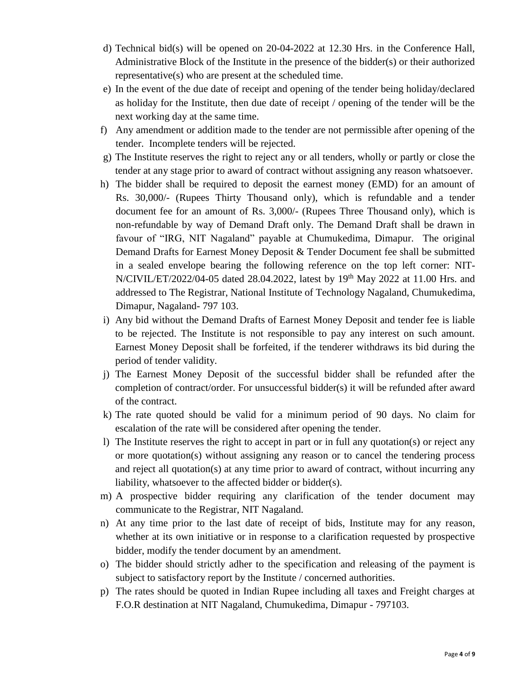- d) Technical bid(s) will be opened on 20-04-2022 at 12.30 Hrs. in the Conference Hall, Administrative Block of the Institute in the presence of the bidder(s) or their authorized representative(s) who are present at the scheduled time.
- e) In the event of the due date of receipt and opening of the tender being holiday/declared as holiday for the Institute, then due date of receipt / opening of the tender will be the next working day at the same time.
- f) Any amendment or addition made to the tender are not permissible after opening of the tender. Incomplete tenders will be rejected.
- g) The Institute reserves the right to reject any or all tenders, wholly or partly or close the tender at any stage prior to award of contract without assigning any reason whatsoever.
- h) The bidder shall be required to deposit the earnest money (EMD) for an amount of Rs. 30,000/- (Rupees Thirty Thousand only), which is refundable and a tender document fee for an amount of Rs. 3,000/- (Rupees Three Thousand only), which is non-refundable by way of Demand Draft only. The Demand Draft shall be drawn in favour of "IRG, NIT Nagaland" payable at Chumukedima, Dimapur. The original Demand Drafts for Earnest Money Deposit & Tender Document fee shall be submitted in a sealed envelope bearing the following reference on the top left corner: NIT-N/CIVIL/ET/2022/04-05 dated 28.04.2022, latest by 19th May 2022 at 11.00 Hrs. and addressed to The Registrar, National Institute of Technology Nagaland, Chumukedima, Dimapur, Nagaland- 797 103.
- i) Any bid without the Demand Drafts of Earnest Money Deposit and tender fee is liable to be rejected. The Institute is not responsible to pay any interest on such amount. Earnest Money Deposit shall be forfeited, if the tenderer withdraws its bid during the period of tender validity.
- j) The Earnest Money Deposit of the successful bidder shall be refunded after the completion of contract/order. For unsuccessful bidder(s) it will be refunded after award of the contract.
- k) The rate quoted should be valid for a minimum period of 90 days. No claim for escalation of the rate will be considered after opening the tender.
- l) The Institute reserves the right to accept in part or in full any quotation(s) or reject any or more quotation(s) without assigning any reason or to cancel the tendering process and reject all quotation(s) at any time prior to award of contract, without incurring any liability, whatsoever to the affected bidder or bidder(s).
- m) A prospective bidder requiring any clarification of the tender document may communicate to the Registrar, NIT Nagaland.
- n) At any time prior to the last date of receipt of bids, Institute may for any reason, whether at its own initiative or in response to a clarification requested by prospective bidder, modify the tender document by an amendment.
- o) The bidder should strictly adher to the specification and releasing of the payment is subject to satisfactory report by the Institute / concerned authorities.
- p) The rates should be quoted in Indian Rupee including all taxes and Freight charges at F.O.R destination at NIT Nagaland, Chumukedima, Dimapur - 797103.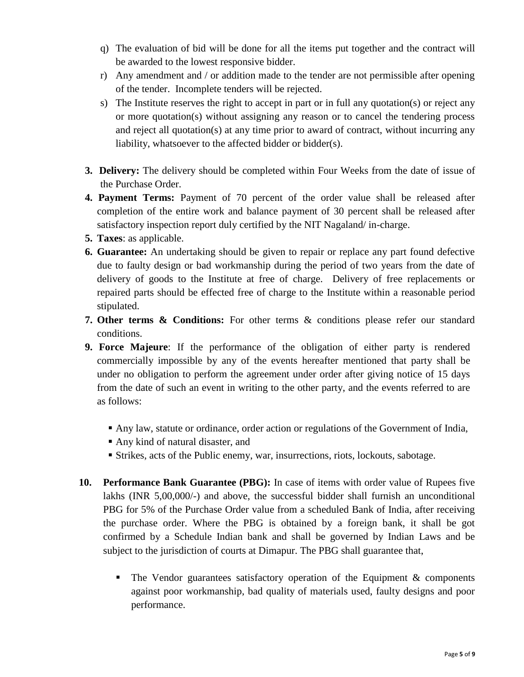- q) The evaluation of bid will be done for all the items put together and the contract will be awarded to the lowest responsive bidder.
- r) Any amendment and / or addition made to the tender are not permissible after opening of the tender. Incomplete tenders will be rejected.
- s) The Institute reserves the right to accept in part or in full any quotation(s) or reject any or more quotation(s) without assigning any reason or to cancel the tendering process and reject all quotation(s) at any time prior to award of contract, without incurring any liability, whatsoever to the affected bidder or bidder(s).
- **3. Delivery:** The delivery should be completed within Four Weeks from the date of issue of the Purchase Order.
- **4. Payment Terms:** Payment of 70 percent of the order value shall be released after completion of the entire work and balance payment of 30 percent shall be released after satisfactory inspection report duly certified by the NIT Nagaland/ in-charge.
- **5. Taxes**: as applicable.
- **6. Guarantee:** An undertaking should be given to repair or replace any part found defective due to faulty design or bad workmanship during the period of two years from the date of delivery of goods to the Institute at free of charge. Delivery of free replacements or repaired parts should be effected free of charge to the Institute within a reasonable period stipulated.
- **7. Other terms & Conditions:** For other terms & conditions please refer our standard conditions.
- **9. Force Majeure**: If the performance of the obligation of either party is rendered commercially impossible by any of the events hereafter mentioned that party shall be under no obligation to perform the agreement under order after giving notice of 15 days from the date of such an event in writing to the other party, and the events referred to are as follows:
	- Any law, statute or ordinance, order action or regulations of the Government of India,
	- Any kind of natural disaster, and
	- Strikes, acts of the Public enemy, war, insurrections, riots, lockouts, sabotage.
- **10. Performance Bank Guarantee (PBG):** In case of items with order value of Rupees five lakhs (INR 5,00,000/-) and above, the successful bidder shall furnish an unconditional PBG for 5% of the Purchase Order value from a scheduled Bank of India, after receiving the purchase order. Where the PBG is obtained by a foreign bank, it shall be got confirmed by a Schedule Indian bank and shall be governed by Indian Laws and be subject to the jurisdiction of courts at Dimapur. The PBG shall guarantee that,
	- $\blacksquare$  The Vendor guarantees satisfactory operation of the Equipment & components against poor workmanship, bad quality of materials used, faulty designs and poor performance.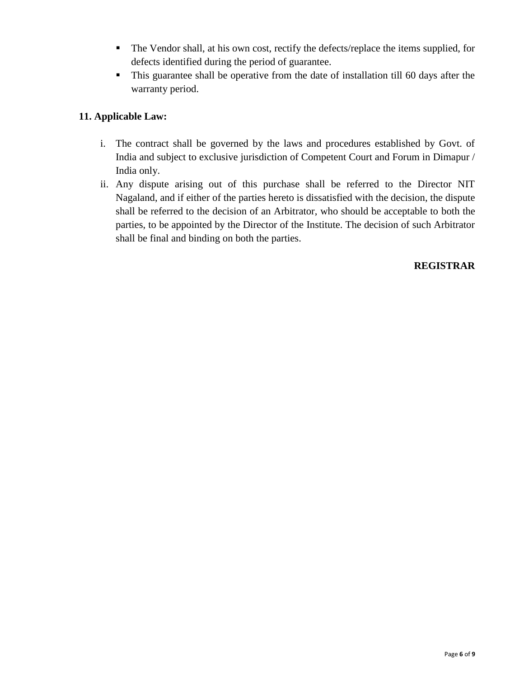- The Vendor shall, at his own cost, rectify the defects/replace the items supplied, for defects identified during the period of guarantee.
- This guarantee shall be operative from the date of installation till 60 days after the warranty period.

## **11. Applicable Law:**

- i. The contract shall be governed by the laws and procedures established by Govt. of India and subject to exclusive jurisdiction of Competent Court and Forum in Dimapur / India only.
- ii. Any dispute arising out of this purchase shall be referred to the Director NIT Nagaland, and if either of the parties hereto is dissatisfied with the decision, the dispute shall be referred to the decision of an Arbitrator, who should be acceptable to both the parties, to be appointed by the Director of the Institute. The decision of such Arbitrator shall be final and binding on both the parties.

## **REGISTRAR**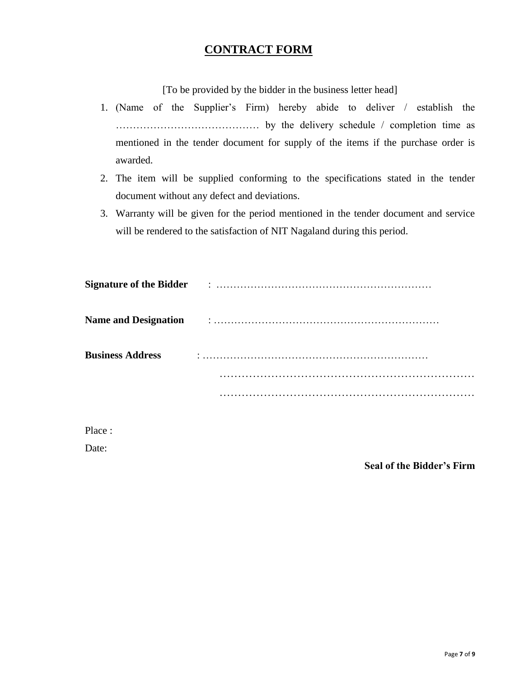## **CONTRACT FORM**

[To be provided by the bidder in the business letter head]

- 1. (Name of the Supplier's Firm) hereby abide to deliver / establish the …………………………………… by the delivery schedule / completion time as mentioned in the tender document for supply of the items if the purchase order is awarded.
- 2. The item will be supplied conforming to the specifications stated in the tender document without any defect and deviations.
- 3. Warranty will be given for the period mentioned in the tender document and service will be rendered to the satisfaction of NIT Nagaland during this period.

|                         | Signature of the Bidder Francisco Communication of the Bidder Francisco Communication of the Bidder |
|-------------------------|-----------------------------------------------------------------------------------------------------|
|                         |                                                                                                     |
| <b>Business Address</b> |                                                                                                     |
|                         |                                                                                                     |
|                         |                                                                                                     |
|                         |                                                                                                     |
|                         |                                                                                                     |

Place :

Date:

**Seal of the Bidder's Firm**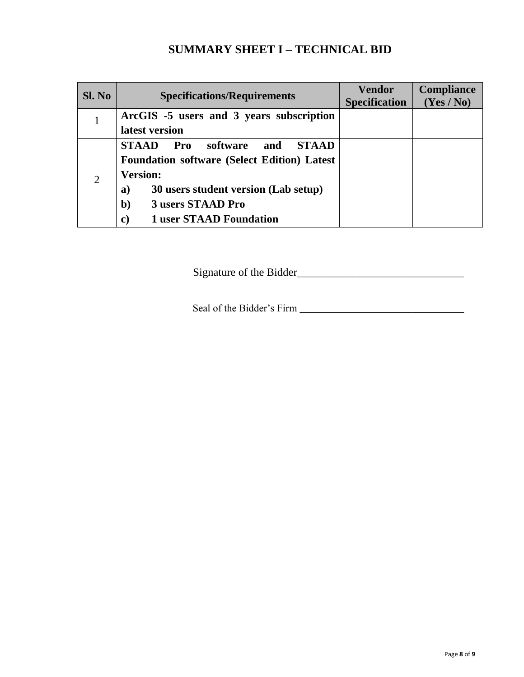# **SUMMARY SHEET I – TECHNICAL BID**

| SI. No         | <b>Specifications/Requirements</b>                     | <b>Vendor</b><br><b>Specification</b> | Compliance<br>(Yes / No) |
|----------------|--------------------------------------------------------|---------------------------------------|--------------------------|
|                | ArcGIS -5 users and 3 years subscription               |                                       |                          |
|                | latest version                                         |                                       |                          |
|                | software<br><b>STAAD</b><br>Pro<br><b>STAAD</b><br>and |                                       |                          |
|                | <b>Foundation software (Select Edition) Latest</b>     |                                       |                          |
| $\overline{2}$ | <b>Version:</b>                                        |                                       |                          |
|                | 30 users student version (Lab setup)<br>a)             |                                       |                          |
|                | 3 users STAAD Pro<br>$\mathbf{b}$                      |                                       |                          |
|                | <b>1 user STAAD Foundation</b><br>$\mathbf{C}$         |                                       |                          |

Signature of the Bidder\_\_\_\_\_\_\_\_\_\_\_\_\_\_\_\_\_\_\_\_\_\_\_\_\_\_\_\_\_\_

Seal of the Bidder's Firm \_\_\_\_\_\_\_\_\_\_\_\_\_\_\_\_\_\_\_\_\_\_\_\_\_\_\_\_\_\_\_\_